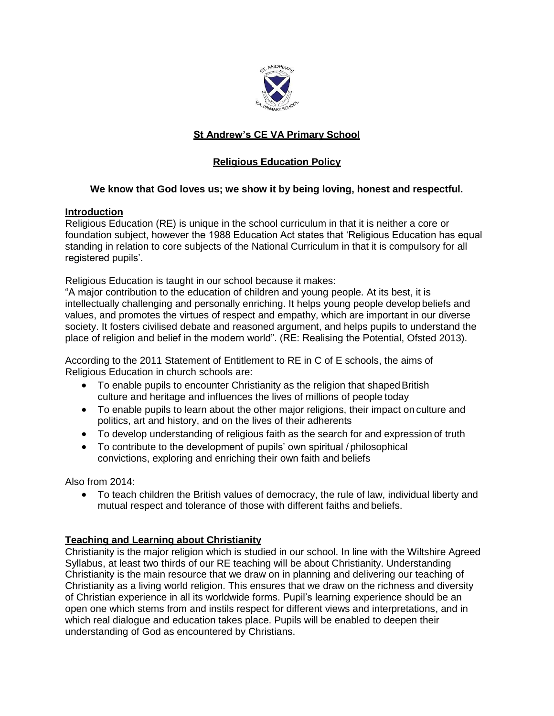

# **St Andrew's CE VA Primary School**

## **Religious Education Policy**

## **We know that God loves us; we show it by being loving, honest and respectful.**

### **Introduction**

Religious Education (RE) is unique in the school curriculum in that it is neither a core or foundation subject, however the 1988 Education Act states that 'Religious Education has equal standing in relation to core subjects of the National Curriculum in that it is compulsory for all registered pupils'.

Religious Education is taught in our school because it makes:

"A major contribution to the education of children and young people. At its best, it is intellectually challenging and personally enriching. It helps young people develop beliefs and values, and promotes the virtues of respect and empathy, which are important in our diverse society. It fosters civilised debate and reasoned argument, and helps pupils to understand the place of religion and belief in the modern world". (RE: Realising the Potential, Ofsted 2013).

According to the 2011 Statement of Entitlement to RE in C of E schools, the aims of Religious Education in church schools are:

- To enable pupils to encounter Christianity as the religion that shaped British culture and heritage and influences the lives of millions of people today
- To enable pupils to learn about the other major religions, their impact on culture and politics, art and history, and on the lives of their adherents
- To develop understanding of religious faith as the search for and expression of truth
- To contribute to the development of pupils' own spiritual / philosophical convictions, exploring and enriching their own faith and beliefs

Also from 2014:

 To teach children the British values of democracy, the rule of law, individual liberty and mutual respect and tolerance of those with different faiths and beliefs.

## **Teaching and Learning about Christianity**

Christianity is the major religion which is studied in our school. In line with the Wiltshire Agreed Syllabus, at least two thirds of our RE teaching will be about Christianity. Understanding Christianity is the main resource that we draw on in planning and delivering our teaching of Christianity as a living world religion. This ensures that we draw on the richness and diversity of Christian experience in all its worldwide forms. Pupil's learning experience should be an open one which stems from and instils respect for different views and interpretations, and in which real dialogue and education takes place. Pupils will be enabled to deepen their understanding of God as encountered by Christians.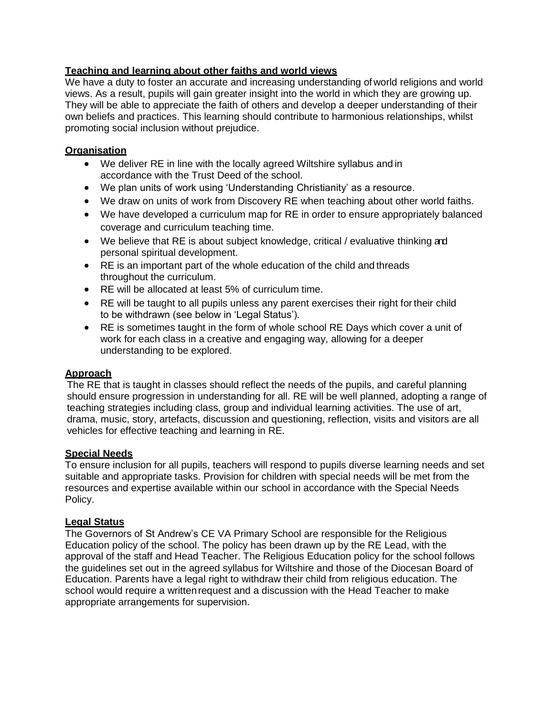## **Teaching and learning about other faiths and world views**

We have a duty to foster an accurate and increasing understanding of world religions and world views. As a result, pupils will gain greater insight into the world in which they are growing up. They will be able to appreciate the faith of others and develop a deeper understanding of their own beliefs and practices. This learning should contribute to harmonious relationships, whilst promoting social inclusion without prejudice.

#### **Organisation**

- We deliver RE in line with the locally agreed Wiltshire syllabus and in accordance with the Trust Deed of the school.
- We plan units of work using 'Understanding Christianity' as a resource.
- We draw on units of work from Discovery RE when teaching about other world faiths.
- We have developed a curriculum map for RE in order to ensure appropriately balanced coverage and curriculum teaching time.
- We believe that RE is about subject knowledge, critical / evaluative thinking and personal spiritual development.
- RE is an important part of the whole education of the child and threads throughout the curriculum.
- RE will be allocated at least 5% of curriculum time.
- RE will be taught to all pupils unless any parent exercises their right for their child to be withdrawn (see below in 'Legal Status').
- RE is sometimes taught in the form of whole school RE Days which cover a unit of work for each class in a creative and engaging way, allowing for a deeper understanding to be explored.

#### **Approach**

The RE that is taught in classes should reflect the needs of the pupils, and careful planning should ensure progression in understanding for all. RE will be well planned, adopting a range of teaching strategies including class, group and individual learning activities. The use of art, drama, music, story, artefacts, discussion and questioning, reflection, visits and visitors are all vehicles for effective teaching and learning in RE.

#### **Special Needs**

To ensure inclusion for all pupils, teachers will respond to pupils diverse learning needs and set suitable and appropriate tasks. Provision for children with special needs will be met from the resources and expertise available within our school in accordance with the Special Needs Policy.

#### **Legal Status**

The Governors of St Andrew's CE VA Primary School are responsible for the Religious Education policy of the school. The policy has been drawn up by the RE Lead, with the approval of the staff and Head Teacher. The Religious Education policy for the school follows the guidelines set out in the agreed syllabus for Wiltshire and those of the Diocesan Board of Education. Parents have a legal right to withdraw their child from religious education. The school would require a written request and a discussion with the Head Teacher to make appropriate arrangements for supervision.